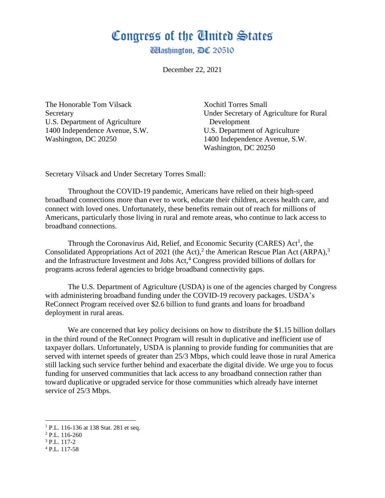## Congress of the Ginited States

**Washington,** *DC* 20510

December 22, 2021

The Honorable Tom Vilsack Xochitl Torres Small U.S. Department of Agriculture Development 1400 Independence Avenue, S.W. U.S. Department of Agriculture

Secretary Under Secretary of Agriculture for Rural Washington, DC 20250 1400 Independence Avenue, S.W. Washington, DC 20250

Secretary Vilsack and Under Secretary Torres Small:

Throughout the COVID-19 pandemic, Americans have relied on their high-speed broadband connections more than ever to work, educate their children, access health care, and connect with loved ones. Unfortunately, these benefits remain out of reach for millions of Americans, particularly those living in rural and remote areas, who continue to lack access to broadband connections.

Through the Coronavirus Aid, Relief, and Economic Security (CARES)  $Act<sup>1</sup>$ , the Consolidated Appropriations Act of 2021 (the Act),<sup>2</sup> the American Rescue Plan Act (ARPA),<sup>3</sup> and the Infrastructure Investment and Jobs Act,<sup>4</sup> Congress provided billions of dollars for programs across federal agencies to bridge broadband connectivity gaps.

The U.S. Department of Agriculture (USDA) is one of the agencies charged by Congress with administering broadband funding under the COVID-19 recovery packages. USDA's ReConnect Program received over \$2.6 billion to fund grants and loans for broadband deployment in rural areas.

We are concerned that key policy decisions on how to distribute the \$1.15 billion dollars in the third round of the ReConnect Program will result in duplicative and inefficient use of taxpayer dollars. Unfortunately, USDA is planning to provide funding for communities that are served with internet speeds of greater than 25/3 Mbps, which could leave those in rural America still lacking such service further behind and exacerbate the digital divide. We urge you to focus funding for unserved communities that lack access to any broadband connection rather than toward duplicative or upgraded service for those communities which already have internet service of 25/3 Mbps.

<sup>&</sup>lt;sup>1</sup> P.L. 116-136 at 138 Stat. 281 et seq.

<sup>2</sup> P.L. 116-260

<sup>3</sup> P.L. 117-2

<sup>4</sup> P.L. 117-58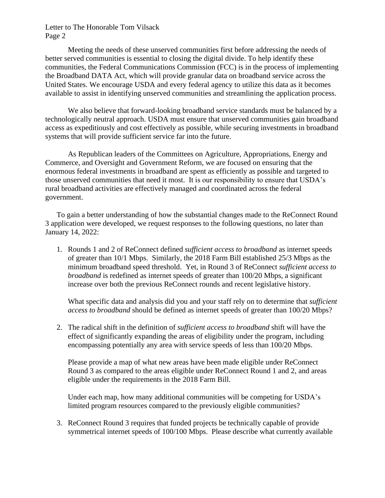Meeting the needs of these unserved communities first before addressing the needs of better served communities is essential to closing the digital divide. To help identify these communities, the Federal Communications Commission (FCC) is in the process of implementing the Broadband DATA Act, which will provide granular data on broadband service across the United States. We encourage USDA and every federal agency to utilize this data as it becomes available to assist in identifying unserved communities and streamlining the application process.

We also believe that forward-looking broadband service standards must be balanced by a technologically neutral approach. USDA must ensure that unserved communities gain broadband access as expeditiously and cost effectively as possible, while securing investments in broadband systems that will provide sufficient service far into the future.

As Republican leaders of the Committees on Agriculture, Appropriations, Energy and Commerce, and Oversight and Government Reform, we are focused on ensuring that the enormous federal investments in broadband are spent as efficiently as possible and targeted to those unserved communities that need it most. It is our responsibility to ensure that USDA's rural broadband activities are effectively managed and coordinated across the federal government.

To gain a better understanding of how the substantial changes made to the ReConnect Round 3 application were developed, we request responses to the following questions, no later than January 14, 2022:

1. Rounds 1 and 2 of ReConnect defined *sufficient access to broadband* as internet speeds of greater than 10/1 Mbps. Similarly, the 2018 Farm Bill established 25/3 Mbps as the minimum broadband speed threshold. Yet, in Round 3 of ReConnect *sufficient access to broadband* is redefined as internet speeds of greater than 100/20 Mbps, a significant increase over both the previous ReConnect rounds and recent legislative history.

What specific data and analysis did you and your staff rely on to determine that *sufficient access to broadband* should be defined as internet speeds of greater than 100/20 Mbps?

2. The radical shift in the definition of *sufficient access to broadband* shift will have the effect of significantly expanding the areas of eligibility under the program, including encompassing potentially any area with service speeds of less than 100/20 Mbps.

Please provide a map of what new areas have been made eligible under ReConnect Round 3 as compared to the areas eligible under ReConnect Round 1 and 2, and areas eligible under the requirements in the 2018 Farm Bill.

Under each map, how many additional communities will be competing for USDA's limited program resources compared to the previously eligible communities?

3. ReConnect Round 3 requires that funded projects be technically capable of provide symmetrical internet speeds of 100/100 Mbps. Please describe what currently available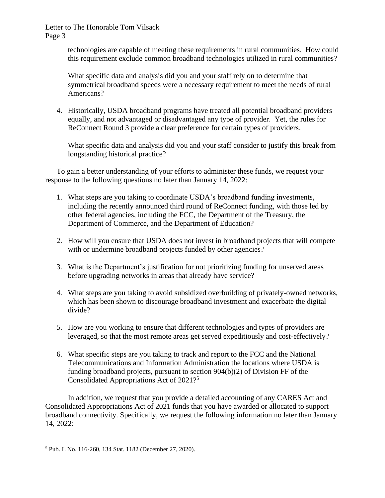> technologies are capable of meeting these requirements in rural communities. How could this requirement exclude common broadband technologies utilized in rural communities?

What specific data and analysis did you and your staff rely on to determine that symmetrical broadband speeds were a necessary requirement to meet the needs of rural Americans?

4. Historically, USDA broadband programs have treated all potential broadband providers equally, and not advantaged or disadvantaged any type of provider. Yet, the rules for ReConnect Round 3 provide a clear preference for certain types of providers.

What specific data and analysis did you and your staff consider to justify this break from longstanding historical practice?

To gain a better understanding of your efforts to administer these funds, we request your response to the following questions no later than January 14, 2022:

- 1. What steps are you taking to coordinate USDA's broadband funding investments, including the recently announced third round of ReConnect funding, with those led by other federal agencies, including the FCC, the Department of the Treasury, the Department of Commerce, and the Department of Education?
- 2. How will you ensure that USDA does not invest in broadband projects that will compete with or undermine broadband projects funded by other agencies?
- 3. What is the Department's justification for not prioritizing funding for unserved areas before upgrading networks in areas that already have service?
- 4. What steps are you taking to avoid subsidized overbuilding of privately-owned networks, which has been shown to discourage broadband investment and exacerbate the digital divide?
- 5. How are you working to ensure that different technologies and types of providers are leveraged, so that the most remote areas get served expeditiously and cost-effectively?
- 6. What specific steps are you taking to track and report to the FCC and the National Telecommunications and Information Administration the locations where USDA is funding broadband projects, pursuant to section 904(b)(2) of Division FF of the Consolidated Appropriations Act of 2021?<sup>5</sup>

In addition, we request that you provide a detailed accounting of any CARES Act and Consolidated Appropriations Act of 2021 funds that you have awarded or allocated to support broadband connectivity. Specifically, we request the following information no later than January 14, 2022:

<sup>5</sup> Pub. L No. 116-260, 134 Stat. 1182 (December 27, 2020).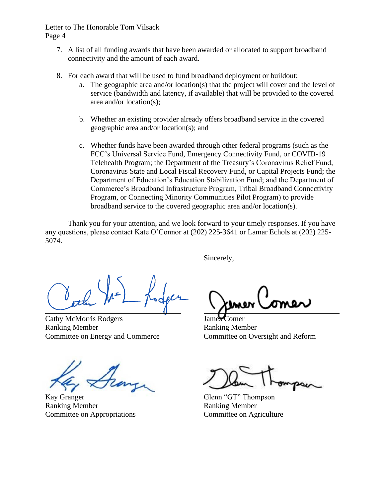- 7. A list of all funding awards that have been awarded or allocated to support broadband connectivity and the amount of each award.
- 8. For each award that will be used to fund broadband deployment or buildout:
	- a. The geographic area and/or location(s) that the project will cover and the level of service (bandwidth and latency, if available) that will be provided to the covered area and/or location(s);
	- b. Whether an existing provider already offers broadband service in the covered geographic area and/or location(s); and
	- c. Whether funds have been awarded through other federal programs (such as the FCC's Universal Service Fund, Emergency Connectivity Fund, or COVID-19 Telehealth Program; the Department of the Treasury's Coronavirus Relief Fund, Coronavirus State and Local Fiscal Recovery Fund, or Capital Projects Fund; the Department of Education's Education Stabilization Fund; and the Department of Commerce's Broadband Infrastructure Program, Tribal Broadband Connectivity Program, or Connecting Minority Communities Pilot Program) to provide broadband service to the covered geographic area and/or location(s).

Thank you for your attention, and we look forward to your timely responses. If you have any questions, please contact Kate O'Connor at (202) 225-3641 or Lamar Echols at (202) 225- 5074.

Sincerely,

Cathy McMorris Rodgers Ranking Member Ranking Member Committee on Energy and Commerce Committee on Oversight and Reform

Kay Granger Glenn "GT" Thompson Ranking Member Ranking Member Committee on Appropriations Committee on Agriculture